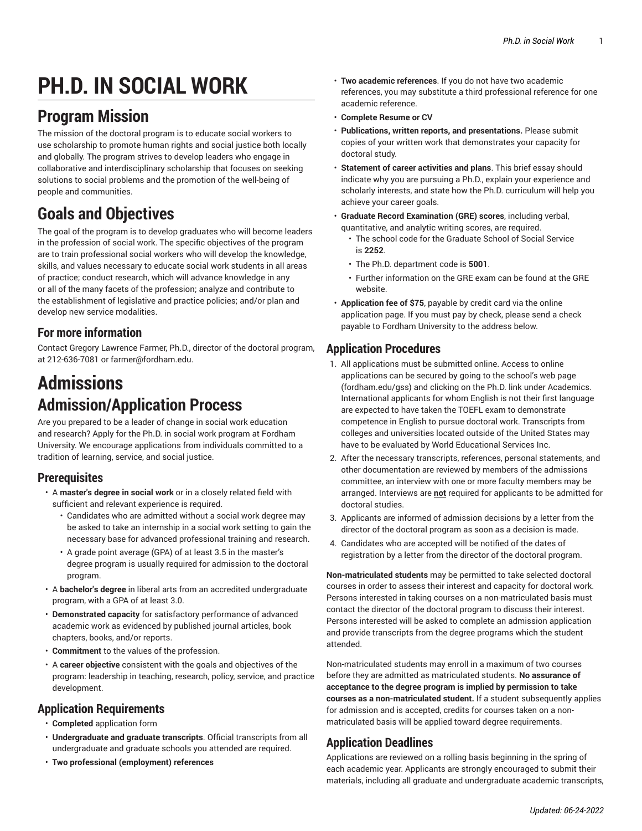# **PH.D. IN SOCIAL WORK**

# **Program Mission**

The mission of the doctoral program is to educate social workers to use scholarship to promote human rights and social justice both locally and globally. The program strives to develop leaders who engage in collaborative and interdisciplinary scholarship that focuses on seeking solutions to social problems and the promotion of the well-being of people and communities.

# **Goals and Objectives**

The goal of the program is to develop graduates who will become leaders in the profession of social work. The specific objectives of the program are to train professional social workers who will develop the knowledge, skills, and values necessary to educate social work students in all areas of practice; conduct research, which will advance knowledge in any or all of the many facets of the profession; analyze and contribute to the establishment of legislative and practice policies; and/or plan and develop new service modalities.

## **For more information**

Contact Gregory Lawrence Farmer, Ph.D., director of the doctoral program, at 212-636-7081 or [farmer@fordham.edu.](mailto:farmer@fordham.edu)

# **Admissions Admission/Application Process**

Are you prepared to be a leader of change in social work education and research? Apply for the Ph.D. in social work program at Fordham University. We encourage applications from individuals committed to a tradition of learning, service, and social justice.

## **Prerequisites**

- A **master's degree in social work** or in a closely related field with sufficient and relevant experience is required.
	- Candidates who are admitted without a social work degree may be asked to take an internship in a social work setting to gain the necessary base for advanced professional training and research.
	- A grade point average (GPA) of at least 3.5 in the master's degree program is usually required for admission to the doctoral program.
- A **bachelor's degree** in liberal arts from an accredited undergraduate program, with a GPA of at least 3.0.
- **Demonstrated capacity** for satisfactory performance of advanced academic work as evidenced by published journal articles, book chapters, books, and/or reports.
- **Commitment** to the values of the profession.
- A **career objective** consistent with the goals and objectives of the program: leadership in teaching, research, policy, service, and practice development.

## **Application Requirements**

- **Completed** [application form](https://gradadmissions.fordham.edu/apply/)
- **Undergraduate and graduate transcripts**. Official transcripts from all undergraduate and graduate schools you attended are required.
- **Two professional (employment) references**
- **Two academic references**. If you do not have two academic references, you may substitute a third professional reference for one academic reference.
- **Complete Resume or CV**
- **Publications, written reports, and presentations.** Please submit copies of your written work that demonstrates your capacity for doctoral study.
- **Statement of career activities and plans**. This brief essay should indicate why you are pursuing a Ph.D., explain your experience and scholarly interests, and state how the Ph.D. curriculum will help you achieve your career goals.
- **Graduate Record Examination (GRE) scores**, including verbal, quantitative, and analytic writing scores, are required.
	- The school code for the Graduate School of Social Service is **2252**.
	- The Ph.D. department code is **5001**.
	- Further information on the GRE exam can be found at the [GRE](http://www.ets.org/gre/) [website](http://www.ets.org/gre/).
- **Application fee of \$75**, payable by credit card via the [online](https://gradadmissions.fordham.edu/apply/) [application](https://gradadmissions.fordham.edu/apply/) page. If you must pay by check, please send a check payable to Fordham University to the address below.

## **Application Procedures**

- 1. All applications must be submitted online. Access to online applications can be secured by going to the school's web page [\(fordham.edu/gss](http://www.fordham.edu/gss/)) and clicking on the Ph.D. link under Academics. International applicants for whom English is not their first language are expected to have taken the TOEFL exam to demonstrate competence in English to pursue doctoral work. Transcripts from colleges and universities located outside of the United States may have to be evaluated by World Educational Services Inc.
- 2. After the necessary transcripts, references, personal statements, and other documentation are reviewed by members of the admissions committee, an interview with one or more faculty members may be arranged. Interviews are **not** required for applicants to be admitted for doctoral studies.
- 3. Applicants are informed of admission decisions by a letter from the director of the doctoral program as soon as a decision is made.
- 4. Candidates who are accepted will be notified of the dates of registration by a letter from the director of the doctoral program.

**Non-matriculated students** may be permitted to take selected doctoral courses in order to assess their interest and capacity for doctoral work. Persons interested in taking courses on a non-matriculated basis must contact the director of the doctoral program to discuss their interest. Persons interested will be asked to complete an admission application and provide transcripts from the degree programs which the student attended.

Non-matriculated students may enroll in a maximum of two courses before they are admitted as matriculated students. **No assurance of acceptance to the degree program is implied by permission to take courses as a non-matriculated student.** If a student subsequently applies for admission and is accepted, credits for courses taken on a nonmatriculated basis will be applied toward degree requirements.

## **Application Deadlines**

Applications are reviewed on a rolling basis beginning in the spring of each academic year. Applicants are strongly encouraged to submit their materials, including all graduate and undergraduate academic transcripts,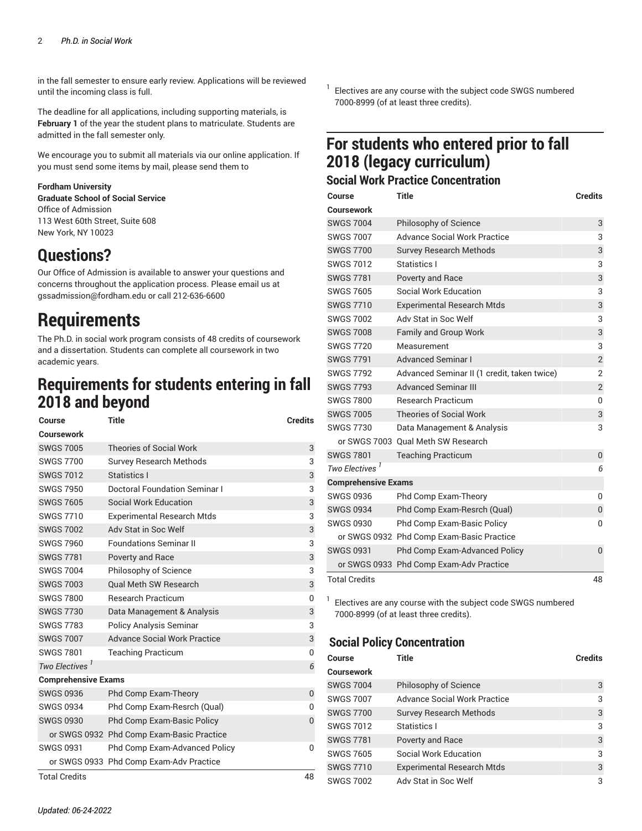in the fall semester to ensure early review. Applications will be reviewed until the incoming class is full.

The deadline for all applications, including supporting materials, is **February 1** of the year the student plans to matriculate. Students are admitted in the fall semester only.

We encourage you to submit all materials via our [online application.](https://gradadmissions.fordham.edu/apply/) If you must send some items by mail, please send them to

#### **Fordham University**

**Graduate School of Social Service** Office of Admission 113 West 60th Street, Suite 608 New York, NY 10023

# **Questions?**

Our Office of Admission is available to answer your questions and concerns throughout the application process. Please email us at [gssadmission@fordham.edu](mailto:gssadmission@fordham.edu) or call 212-636-6600

# **Requirements**

The Ph.D. in social work program consists of 48 credits of coursework and a dissertation. Students can complete all coursework in two academic years.

## **Requirements for students entering in fall 2018 and beyond**

| Course                     | <b>Title</b>                              | <b>Credits</b> |
|----------------------------|-------------------------------------------|----------------|
| Coursework                 |                                           |                |
| <b>SWGS 7005</b>           | <b>Theories of Social Work</b>            | 3              |
| <b>SWGS 7700</b>           | <b>Survey Research Methods</b>            | 3              |
| <b>SWGS 7012</b>           | Statistics I                              | 3              |
| <b>SWGS 7950</b>           | Doctoral Foundation Seminar I             | 3              |
| <b>SWGS 7605</b>           | Social Work Education                     | 3              |
| <b>SWGS 7710</b>           | <b>Experimental Research Mtds</b>         | 3              |
| <b>SWGS 7002</b>           | Adv Stat in Soc Welf                      | 3              |
| <b>SWGS 7960</b>           | <b>Foundations Seminar II</b>             | 3              |
| <b>SWGS 7781</b>           | Poverty and Race                          | 3              |
| <b>SWGS 7004</b>           | Philosophy of Science                     | 3              |
| <b>SWGS 7003</b>           | <b>Oual Meth SW Research</b>              | 3              |
| <b>SWGS 7800</b>           | <b>Research Practicum</b>                 | $\mathbf{0}$   |
| <b>SWGS 7730</b>           | Data Management & Analysis                | 3              |
| <b>SWGS 7783</b>           | <b>Policy Analysis Seminar</b>            | 3              |
| <b>SWGS 7007</b>           | <b>Advance Social Work Practice</b>       | 3              |
| <b>SWGS 7801</b>           | <b>Teaching Practicum</b>                 | $\mathbf{0}$   |
| Two Electives <sup>1</sup> |                                           | 6              |
| <b>Comprehensive Exams</b> |                                           |                |
| <b>SWGS 0936</b>           | Phd Comp Exam-Theory                      | 0              |
| <b>SWGS 0934</b>           | Phd Comp Exam-Resrch (Qual)               | $\mathbf{0}$   |
| <b>SWGS 0930</b>           | <b>Phd Comp Exam-Basic Policy</b>         | $\Omega$       |
|                            | or SWGS 0932 Phd Comp Exam-Basic Practice |                |
| <b>SWGS 0931</b>           | Phd Comp Exam-Advanced Policy             | $\mathbf{0}$   |
|                            | or SWGS 0933 Phd Comp Exam-Adv Practice   |                |
| <b>Total Credits</b>       |                                           | 48             |

1 Electives are any course with the [subject code SWGS](https://bulletin.fordham.edu/courses/SWGS/) numbered 7000-8999 (of at least three credits).

## **For students who entered prior to fall 2018 (legacy curriculum)**

## **Social Work Practice Concentration**

| Course                     | <b>Title</b>                                | <b>Credits</b> |
|----------------------------|---------------------------------------------|----------------|
| Coursework                 |                                             |                |
| <b>SWGS 7004</b>           | Philosophy of Science                       | 3              |
| <b>SWGS 7007</b>           | <b>Advance Social Work Practice</b>         | 3              |
| <b>SWGS 7700</b>           | <b>Survey Research Methods</b>              | 3              |
| <b>SWGS 7012</b>           | Statistics I                                | 3              |
| <b>SWGS 7781</b>           | <b>Poverty and Race</b>                     | 3              |
| <b>SWGS 7605</b>           | Social Work Education                       | 3              |
| <b>SWGS 7710</b>           | <b>Experimental Research Mtds</b>           | 3              |
| <b>SWGS 7002</b>           | Adv Stat in Soc Welf                        | 3              |
| <b>SWGS 7008</b>           | <b>Family and Group Work</b>                | 3              |
| <b>SWGS 7720</b>           | Measurement                                 | 3              |
| <b>SWGS 7791</b>           | <b>Advanced Seminar I</b>                   | $\overline{2}$ |
| <b>SWGS 7792</b>           | Advanced Seminar II (1 credit, taken twice) | $\overline{2}$ |
| <b>SWGS 7793</b>           | <b>Advanced Seminar III</b>                 | $\overline{2}$ |
| <b>SWGS 7800</b>           | <b>Research Practicum</b>                   | 0              |
| <b>SWGS 7005</b>           | <b>Theories of Social Work</b>              | 3              |
| <b>SWGS 7730</b>           | Data Management & Analysis                  | 3              |
|                            | or SWGS 7003 Qual Meth SW Research          |                |
| <b>SWGS 7801</b>           | <b>Teaching Practicum</b>                   | 0              |
| Two Electives <sup>1</sup> |                                             | 6              |
| <b>Comprehensive Exams</b> |                                             |                |
| <b>SWGS 0936</b>           | Phd Comp Exam-Theory                        | 0              |
| <b>SWGS 0934</b>           | Phd Comp Exam-Resrch (Qual)                 | 0              |
| <b>SWGS 0930</b>           | <b>Phd Comp Exam-Basic Policy</b>           | 0              |
|                            | or SWGS 0932 Phd Comp Exam-Basic Practice   |                |
| <b>SWGS 0931</b>           | <b>Phd Comp Exam-Advanced Policy</b>        | $\overline{0}$ |
|                            | or SWGS 0933 Phd Comp Exam-Adv Practice     |                |
| <b>Total Credits</b>       |                                             | 48             |

1 Electives are any course with the [subject code SWGS](https://bulletin.fordham.edu/courses/SWGS/) numbered 7000-8999 (of at least three credits).

## **Social Policy Concentration**

| Course            | Title                               | <b>Credits</b> |
|-------------------|-------------------------------------|----------------|
| <b>Coursework</b> |                                     |                |
| <b>SWGS 7004</b>  | Philosophy of Science               | 3              |
| <b>SWGS 7007</b>  | <b>Advance Social Work Practice</b> | 3              |
| <b>SWGS 7700</b>  | <b>Survey Research Methods</b>      | 3              |
| <b>SWGS 7012</b>  | Statistics I                        | 3              |
| <b>SWGS 7781</b>  | Poverty and Race                    | 3              |
| <b>SWGS 7605</b>  | Social Work Education               | 3              |
| <b>SWGS 7710</b>  | <b>Experimental Research Mtds</b>   | 3              |
| <b>SWGS 7002</b>  | Adv Stat in Soc Welf                | 3              |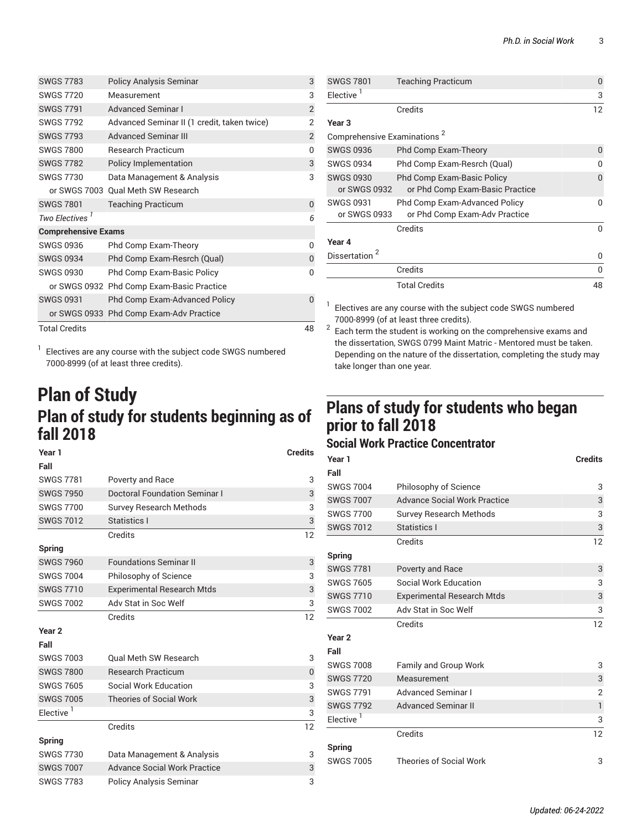| <b>SWGS 7783</b>           | <b>Policy Analysis Seminar</b>              | 3              |
|----------------------------|---------------------------------------------|----------------|
| <b>SWGS 7720</b>           | Measurement                                 | 3              |
| <b>SWGS 7791</b>           | <b>Advanced Seminar I</b>                   | $\overline{2}$ |
| <b>SWGS 7792</b>           | Advanced Seminar II (1 credit, taken twice) | 2              |
| <b>SWGS 7793</b>           | <b>Advanced Seminar III</b>                 | $\overline{2}$ |
| <b>SWGS 7800</b>           | <b>Research Practicum</b>                   | 0              |
| <b>SWGS 7782</b>           | Policy Implementation                       | 3              |
| <b>SWGS 7730</b>           | Data Management & Analysis                  | 3              |
|                            | or SWGS 7003 Qual Meth SW Research          |                |
| <b>SWGS 7801</b>           | <b>Teaching Practicum</b>                   | 0              |
| Two Electives <sup>1</sup> |                                             | 6              |
| <b>Comprehensive Exams</b> |                                             |                |
| SWGS 0936                  | Phd Comp Exam-Theory                        | U              |
| <b>SWGS 0934</b>           | Phd Comp Exam-Resrch (Qual)                 | $\Omega$       |
| <b>SWGS 0930</b>           | <b>Phd Comp Exam-Basic Policy</b>           | U              |
|                            | or SWGS 0932 Phd Comp Exam-Basic Practice   |                |
| <b>SWGS 0931</b>           | <b>Phd Comp Exam-Advanced Policy</b>        | 0              |
|                            | or SWGS 0933 Phd Comp Exam-Adv Practice     |                |
| <b>Total Credits</b>       |                                             | 48             |

1 Electives are any course with the [subject code SWGS](https://bulletin.fordham.edu/courses/SWGS/) numbered 7000-8999 (of at least three credits).

# **Plan of Study Plan of study for students beginning as of fall 2018**

| Year 1            |                                      | <b>Credits</b> |
|-------------------|--------------------------------------|----------------|
| Fall              |                                      |                |
| <b>SWGS 7781</b>  | Poverty and Race                     | 3              |
| <b>SWGS 7950</b>  | <b>Doctoral Foundation Seminar I</b> | 3              |
| <b>SWGS 7700</b>  | <b>Survey Research Methods</b>       | 3              |
| <b>SWGS 7012</b>  | Statistics I                         | 3              |
|                   | Credits                              | 12             |
| Spring            |                                      |                |
| <b>SWGS 7960</b>  | <b>Foundations Seminar II</b>        | 3              |
| <b>SWGS 7004</b>  | Philosophy of Science                | 3              |
| <b>SWGS 7710</b>  | <b>Experimental Research Mtds</b>    | 3              |
| <b>SWGS 7002</b>  | Adv Stat in Soc Welf                 | 3              |
|                   | Credits                              | 12             |
| Year <sub>2</sub> |                                      |                |
| Fall              |                                      |                |
| <b>SWGS 7003</b>  | <b>Oual Meth SW Research</b>         | 3              |
| <b>SWGS 7800</b>  | <b>Research Practicum</b>            | $\overline{0}$ |
| <b>SWGS 7605</b>  | Social Work Education                | 3              |
| <b>SWGS 7005</b>  | <b>Theories of Social Work</b>       | 3              |
| Elective          |                                      | 3              |
|                   | Credits                              | 12             |
| Spring            |                                      |                |
| <b>SWGS 7730</b>  | Data Management & Analysis           | 3              |
| <b>SWGS 7007</b>  | <b>Advance Social Work Practice</b>  | 3              |
| <b>SWGS 7783</b>  | <b>Policy Analysis Seminar</b>       | 3              |

| <b>SWGS 7801</b>                        | <b>Teaching Practicum</b>            | 0            |
|-----------------------------------------|--------------------------------------|--------------|
| Elective <sup>1</sup>                   |                                      | 3            |
|                                         | Credits                              | 12           |
| Year 3                                  |                                      |              |
| Comprehensive Examinations <sup>2</sup> |                                      |              |
| <b>SWGS 0936</b>                        | <b>Phd Comp Exam-Theory</b>          | $\Omega$     |
| <b>SWGS 0934</b>                        | Phd Comp Exam-Resrch (Qual)          | U            |
| <b>SWGS 0930</b>                        | <b>Phd Comp Exam-Basic Policy</b>    | 0            |
| or SWGS 0932                            | or Phd Comp Exam-Basic Practice      |              |
| <b>SWGS 0931</b>                        | <b>Phd Comp Exam-Advanced Policy</b> | U            |
| or SWGS 0933                            | or Phd Comp Exam-Adv Practice        |              |
|                                         | Credits                              | 0            |
| Year 4                                  |                                      |              |
| Dissertation <sup>2</sup>               |                                      | 0            |
|                                         | Credits                              | <sup>0</sup> |
|                                         | <b>Total Credits</b>                 | 48           |

 $1$  Electives are any course with the [subject code SWGS](https://bulletin.fordham.edu/courses/SWGS/) numbered

 $7000$ -8999 (of at least three credits).<br><sup>2</sup> Each term the student is working on the comprehensive exams and the dissertation, SWGS 0799 Maint Matric - Mentored must be taken. Depending on the nature of the dissertation, completing the study may take longer than one year.

## **Plans of study for students who began prior to fall 2018**

## **Social Work Practice Concentrator**

| Year 1<br>Fall        |                                     | <b>Credits</b> |
|-----------------------|-------------------------------------|----------------|
| <b>SWGS 7004</b>      | Philosophy of Science               | 3              |
| <b>SWGS 7007</b>      | <b>Advance Social Work Practice</b> | 3              |
| <b>SWGS 7700</b>      | <b>Survey Research Methods</b>      | 3              |
| <b>SWGS 7012</b>      | Statistics I                        | 3              |
|                       | Credits                             | 12             |
| Spring                |                                     |                |
| <b>SWGS 7781</b>      | Poverty and Race                    | 3              |
| <b>SWGS 7605</b>      | Social Work Education               | 3              |
| <b>SWGS 7710</b>      | <b>Experimental Research Mtds</b>   | 3              |
| <b>SWGS 7002</b>      | Adv Stat in Soc Welf                | 3              |
|                       | Credits                             | 12             |
| Year <sub>2</sub>     |                                     |                |
| Fall                  |                                     |                |
| <b>SWGS 7008</b>      | <b>Family and Group Work</b>        | 3              |
| <b>SWGS 7720</b>      | Measurement                         | 3              |
| <b>SWGS 7791</b>      | <b>Advanced Seminar I</b>           | $\overline{2}$ |
| <b>SWGS 7792</b>      | <b>Advanced Seminar II</b>          | $\mathbf{1}$   |
| Elective <sup>1</sup> |                                     | 3              |
|                       | Credits                             | 12             |
| Spring                |                                     |                |
| <b>SWGS 7005</b>      | <b>Theories of Social Work</b>      | 3              |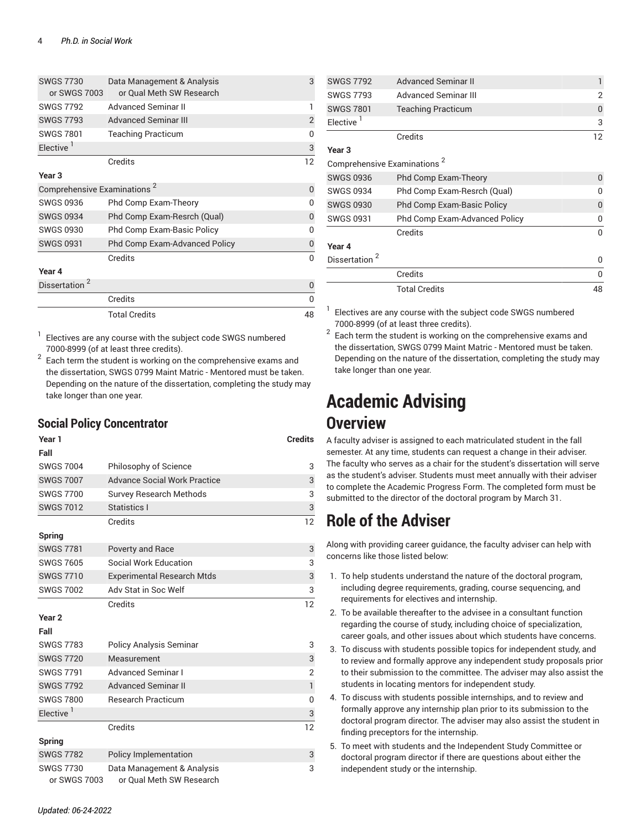| <b>SWGS 7730</b><br>or SWGS 7003        | Data Management & Analysis<br>or Qual Meth SW Research | 3              |
|-----------------------------------------|--------------------------------------------------------|----------------|
| <b>SWGS 7792</b>                        | <b>Advanced Seminar II</b>                             |                |
| <b>SWGS 7793</b>                        | <b>Advanced Seminar III</b>                            | $\overline{2}$ |
| <b>SWGS 7801</b>                        | <b>Teaching Practicum</b>                              | O              |
| Elective <sup>1</sup>                   |                                                        | 3              |
|                                         | Credits                                                | 12             |
| Year <sub>3</sub>                       |                                                        |                |
| Comprehensive Examinations <sup>2</sup> |                                                        | 0              |
| SWGS 0936                               | Phd Comp Exam-Theory                                   | U              |
| <b>SWGS 0934</b>                        | Phd Comp Exam-Resrch (Qual)                            | 0              |
| <b>SWGS 0930</b>                        | <b>Phd Comp Exam-Basic Policy</b>                      | U              |
| <b>SWGS 0931</b>                        | <b>Phd Comp Exam-Advanced Policy</b>                   | 0              |
|                                         | Credits                                                | O              |
| Year 4                                  |                                                        |                |
| Dissertation                            |                                                        | 0              |
|                                         | Credits                                                | 0              |
|                                         | <b>Total Credits</b>                                   | 48             |

1 Electives are any course with the [subject code SWGS](https://bulletin.fordham.edu/courses/SWGS/) numbered 7000-8999 (of at least three credits).

 $^{\rm 2}$  Each term the student is working on the comprehensive exams and the dissertation, SWGS 0799 Maint Matric - Mentored must be taken. Depending on the nature of the dissertation, completing the study may take longer than one year.

#### **Social Policy Concentrator**

| Year 1<br>Fall                   |                                                        | <b>Credits</b> |
|----------------------------------|--------------------------------------------------------|----------------|
| <b>SWGS 7004</b>                 | Philosophy of Science                                  | 3              |
| <b>SWGS 7007</b>                 | <b>Advance Social Work Practice</b>                    | 3              |
| <b>SWGS 7700</b>                 | <b>Survey Research Methods</b>                         | 3              |
| <b>SWGS 7012</b>                 | Statistics I                                           | 3              |
|                                  | Credits                                                | 12             |
| <b>Spring</b>                    |                                                        |                |
| <b>SWGS 7781</b>                 | Poverty and Race                                       | 3              |
| <b>SWGS 7605</b>                 | Social Work Education                                  | 3              |
| <b>SWGS 7710</b>                 | <b>Experimental Research Mtds</b>                      | 3              |
| <b>SWGS 7002</b>                 | Adv Stat in Soc Welf                                   | 3              |
|                                  | Credits                                                | 12             |
| Year <sub>2</sub>                |                                                        |                |
| Fall                             |                                                        |                |
| <b>SWGS 7783</b>                 | <b>Policy Analysis Seminar</b>                         | 3              |
| <b>SWGS 7720</b>                 | Measurement                                            | 3              |
| <b>SWGS 7791</b>                 | <b>Advanced Seminar I</b>                              | $\overline{2}$ |
| <b>SWGS 7792</b>                 | <b>Advanced Seminar II</b>                             | $\mathbf{1}$   |
| <b>SWGS 7800</b>                 | <b>Research Practicum</b>                              | 0              |
| Elective <sup>1</sup>            |                                                        | 3              |
|                                  | Credits                                                | 12             |
| Spring                           |                                                        |                |
| <b>SWGS 7782</b>                 | Policy Implementation                                  | 3              |
| <b>SWGS 7730</b><br>or SWGS 7003 | Data Management & Analysis<br>or Qual Meth SW Research | 3              |

| <b>SWGS 7792</b>                        | <b>Advanced Seminar II</b>        | 1              |
|-----------------------------------------|-----------------------------------|----------------|
| <b>SWGS 7793</b>                        | <b>Advanced Seminar III</b>       | $\mathfrak{p}$ |
| <b>SWGS 7801</b>                        | <b>Teaching Practicum</b>         | 0              |
| Elective <sup>1</sup>                   |                                   | 3              |
|                                         | Credits                           | 12             |
| Year <sub>3</sub>                       |                                   |                |
| Comprehensive Examinations <sup>2</sup> |                                   |                |
| <b>SWGS 0936</b>                        | Phd Comp Exam-Theory              | $\Omega$       |
| <b>SWGS 0934</b>                        | Phd Comp Exam-Resrch (Qual)       | በ              |
| <b>SWGS 0930</b>                        | <b>Phd Comp Exam-Basic Policy</b> | 0              |
| <b>SWGS 0931</b>                        | Phd Comp Exam-Advanced Policy     | O              |
|                                         | Credits                           | <sup>0</sup>   |
| Year 4                                  |                                   |                |
| Dissertation                            |                                   | O              |
|                                         | Credits                           | 0              |
|                                         | <b>Total Credits</b>              | 48             |

 $1$  Electives are any course with the [subject code SWGS](https://bulletin.fordham.edu/courses/swgs/) numbered 7000-8999 (of at least three credits).

 $^2\,$  Each term the student is working on the comprehensive exams and the dissertation, SWGS 0799 Maint Matric - Mentored must be taken. Depending on the nature of the dissertation, completing the study may take longer than one year.

# **Academic Advising Overview**

A faculty adviser is assigned to each matriculated student in the fall semester. At any time, students can request a change in their adviser. The faculty who serves as a chair for the student's dissertation will serve as the student's adviser. Students must meet annually with their adviser to complete the [Academic](https://bulletin.fordham.edu/gss/phd/PhD_Annual_Student_Assessment.docx) Progress Form. The completed form must be submitted to the director of the doctoral program by March 31.

# **Role of the Adviser**

Along with providing career guidance, the faculty adviser can help with concerns like those listed below:

- 1. To help students understand the nature of the doctoral program, including degree requirements, grading, course sequencing, and requirements for electives and internship.
- 2. To be available thereafter to the advisee in a consultant function regarding the course of study, including choice of specialization, career goals, and other issues about which students have concerns.
- 3. To discuss with students possible topics for independent study, and to review and formally approve any independent study proposals prior to their submission to the committee. The adviser may also assist the students in locating mentors for independent study.
- 4. To discuss with students possible internships, and to review and formally approve any internship plan prior to its submission to the doctoral program director. The adviser may also assist the student in finding preceptors for the internship.
- 5. To meet with students and the Independent Study Committee or doctoral program director if there are questions about either the independent study or the internship.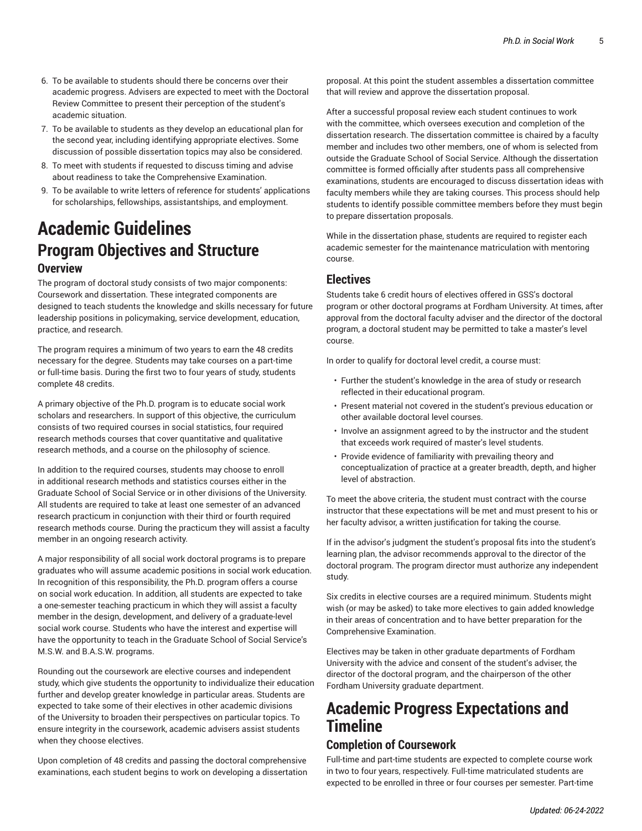- 6. To be available to students should there be concerns over their academic progress. Advisers are expected to meet with the Doctoral Review Committee to present their perception of the student's academic situation.
- 7. To be available to students as they develop an educational plan for the second year, including identifying appropriate electives. Some discussion of possible dissertation topics may also be considered.
- 8. To meet with students if requested to discuss timing and advise about readiness to take the Comprehensive Examination.
- 9. To be available to write letters of reference for students' applications for scholarships, fellowships, assistantships, and employment.

## **Academic Guidelines Program Objectives and Structure Overview**

The program of doctoral study consists of two major components: Coursework and dissertation. These integrated components are designed to teach students the knowledge and skills necessary for future leadership positions in policymaking, service development, education, practice, and research.

The program requires a minimum of two years to earn the 48 credits necessary for the degree. Students may take courses on a part-time or full-time basis. During the first two to four years of study, students complete 48 credits.

A primary objective of the Ph.D. program is to educate social work scholars and researchers. In support of this objective, the curriculum consists of two required courses in social statistics, four required research methods courses that cover quantitative and qualitative research methods, and a course on the philosophy of science.

In addition to the required courses, students may choose to enroll in additional research methods and statistics courses either in the Graduate School of Social Service or in other divisions of the University. All students are required to take at least one semester of an advanced research practicum in conjunction with their third or fourth required research methods course. During the practicum they will assist a faculty member in an ongoing research activity.

A major responsibility of all social work doctoral programs is to prepare graduates who will assume academic positions in social work education. In recognition of this responsibility, the Ph.D. program offers a course on social work education. In addition, all students are expected to take a one-semester teaching practicum in which they will assist a faculty member in the design, development, and delivery of a graduate-level social work course. Students who have the interest and expertise will have the opportunity to teach in the Graduate School of Social Service's M.S.W. and B.A.S.W. programs.

Rounding out the coursework are elective courses and independent study, which give students the opportunity to individualize their education further and develop greater knowledge in particular areas. Students are expected to take some of their electives in other academic divisions of the University to broaden their perspectives on particular topics. To ensure integrity in the coursework, academic advisers assist students when they choose electives.

Upon completion of 48 credits and passing the doctoral comprehensive examinations, each student begins to work on developing a dissertation proposal. At this point the student assembles a dissertation committee that will review and approve the dissertation proposal.

After a successful proposal review each student continues to work with the committee, which oversees execution and completion of the dissertation research. The dissertation committee is chaired by a faculty member and includes two other members, one of whom is selected from outside the Graduate School of Social Service. Although the dissertation committee is formed officially after students pass all comprehensive examinations, students are encouraged to discuss dissertation ideas with faculty members while they are taking courses. This process should help students to identify possible committee members before they must begin to prepare dissertation proposals.

While in the dissertation phase, students are required to register each academic semester for the maintenance matriculation with mentoring course.

#### **Electives**

Students take 6 credit hours of electives offered in GSS's doctoral program or other doctoral programs at Fordham University. At times, after approval from the doctoral faculty adviser and the director of the doctoral program, a doctoral student may be permitted to take a master's level course.

In order to qualify for doctoral level credit, a course must:

- Further the student's knowledge in the area of study or research reflected in their educational program.
- Present material not covered in the student's previous education or other available doctoral level courses.
- Involve an assignment agreed to by the instructor and the student that exceeds work required of master's level students.
- Provide evidence of familiarity with prevailing theory and conceptualization of practice at a greater breadth, depth, and higher level of abstraction.

To meet the above criteria, the student must contract with the course instructor that these expectations will be met and must present to his or her faculty advisor, a written justification for taking the course.

If in the advisor's judgment the student's proposal fits into the student's learning plan, the advisor recommends approval to the director of the doctoral program. The program director must authorize any independent study.

Six credits in elective courses are a required minimum. Students might wish (or may be asked) to take more electives to gain added knowledge in their areas of concentration and to have better preparation for the Comprehensive Examination.

Electives may be taken in other graduate departments of Fordham University with the advice and consent of the student's adviser, the director of the doctoral program, and the chairperson of the other Fordham University graduate department.

# **Academic Progress Expectations and Timeline**

### **Completion of Coursework**

Full-time and part-time students are expected to complete course work in two to four years, respectively. Full-time matriculated students are expected to be enrolled in three or four courses per semester. Part-time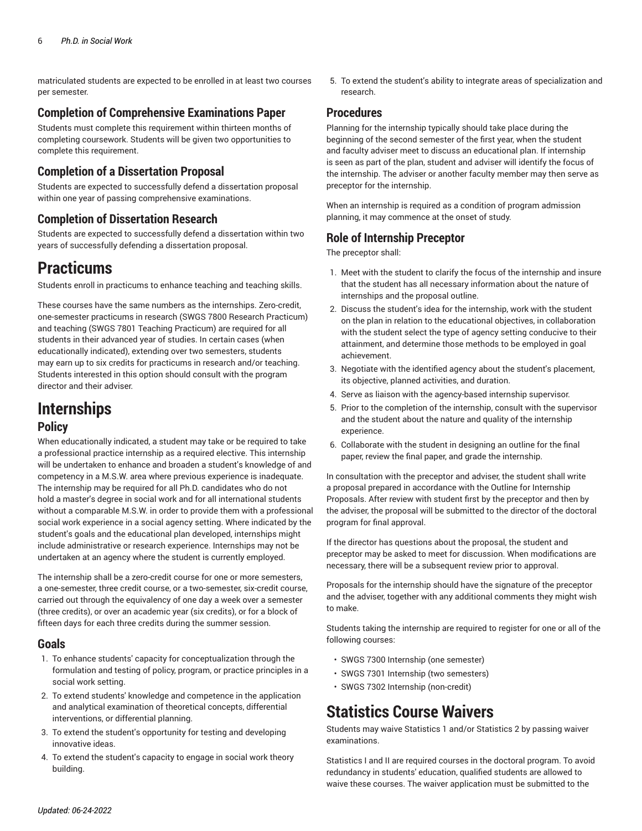matriculated students are expected to be enrolled in at least two courses per semester.

#### **Completion of Comprehensive Examinations Paper**

Students must complete this requirement within thirteen months of completing coursework. Students will be given two opportunities to complete this requirement.

#### **Completion of a Dissertation Proposal**

Students are expected to successfully defend a dissertation proposal within one year of passing comprehensive examinations.

#### **Completion of Dissertation Research**

Students are expected to successfully defend a dissertation within two years of successfully defending a dissertation proposal.

## **Practicums**

Students enroll in practicums to enhance teaching and teaching skills.

These courses have the same numbers as the internships. Zero-credit, one-semester practicums in research (SWGS 7800 Research Practicum) and teaching (SWGS 7801 Teaching Practicum) are required for all students in their advanced year of studies. In certain cases (when educationally indicated), extending over two semesters, students may earn up to six credits for practicums in research and/or teaching. Students interested in this option should consult with the program director and their adviser.

## **Internships**

#### **Policy**

When educationally indicated, a student may take or be required to take a professional practice internship as a required elective. This internship will be undertaken to enhance and broaden a student's knowledge of and competency in a M.S.W. area where previous experience is inadequate. The internship may be required for all Ph.D. candidates who do not hold a master's degree in social work and for all international students without a comparable M.S.W. in order to provide them with a professional social work experience in a social agency setting. Where indicated by the student's goals and the educational plan developed, internships might include administrative or research experience. Internships may not be undertaken at an agency where the student is currently employed.

The internship shall be a zero-credit course for one or more semesters, a one-semester, three credit course, or a two-semester, six-credit course, carried out through the equivalency of one day a week over a semester (three credits), or over an academic year (six credits), or for a block of fifteen days for each three credits during the summer session.

#### **Goals**

- 1. To enhance students' capacity for conceptualization through the formulation and testing of policy, program, or practice principles in a social work setting.
- 2. To extend students' knowledge and competence in the application and analytical examination of theoretical concepts, differential interventions, or differential planning.
- 3. To extend the student's opportunity for testing and developing innovative ideas.
- 4. To extend the student's capacity to engage in social work theory building.

5. To extend the student's ability to integrate areas of specialization and research.

#### **Procedures**

Planning for the internship typically should take place during the beginning of the second semester of the first year, when the student and faculty adviser meet to discuss an educational plan. If internship is seen as part of the plan, student and adviser will identify the focus of the internship. The adviser or another faculty member may then serve as preceptor for the internship.

When an internship is required as a condition of program admission planning, it may commence at the onset of study.

### **Role of Internship Preceptor**

The preceptor shall:

- 1. Meet with the student to clarify the focus of the internship and insure that the student has all necessary information about the nature of internships and the proposal outline.
- 2. Discuss the student's idea for the internship, work with the student on the plan in relation to the educational objectives, in collaboration with the student select the type of agency setting conducive to their attainment, and determine those methods to be employed in goal achievement.
- 3. Negotiate with the identified agency about the student's placement, its objective, planned activities, and duration.
- 4. Serve as liaison with the agency-based internship supervisor.
- 5. Prior to the completion of the internship, consult with the supervisor and the student about the nature and quality of the internship experience.
- 6. Collaborate with the student in designing an outline for the final paper, review the final paper, and grade the internship.

In consultation with the preceptor and adviser, the student shall write a proposal prepared in accordance with the Outline for Internship Proposals. After review with student first by the preceptor and then by the adviser, the proposal will be submitted to the director of the doctoral program for final approval.

If the director has questions about the proposal, the student and preceptor may be asked to meet for discussion. When modifications are necessary, there will be a subsequent review prior to approval.

Proposals for the internship should have the signature of the preceptor and the adviser, together with any additional comments they might wish to make.

Students taking the internship are required to register for one or all of the following courses:

- SWGS 7300 Internship (one semester)
- SWGS 7301 Internship (two semesters)
- SWGS 7302 Internship (non-credit)

## **Statistics Course Waivers**

Students may waive Statistics 1 and/or Statistics 2 by passing waiver examinations.

Statistics I and II are required courses in the doctoral program. To avoid redundancy in students' education, qualified students are allowed to waive these courses. The waiver application must be submitted to the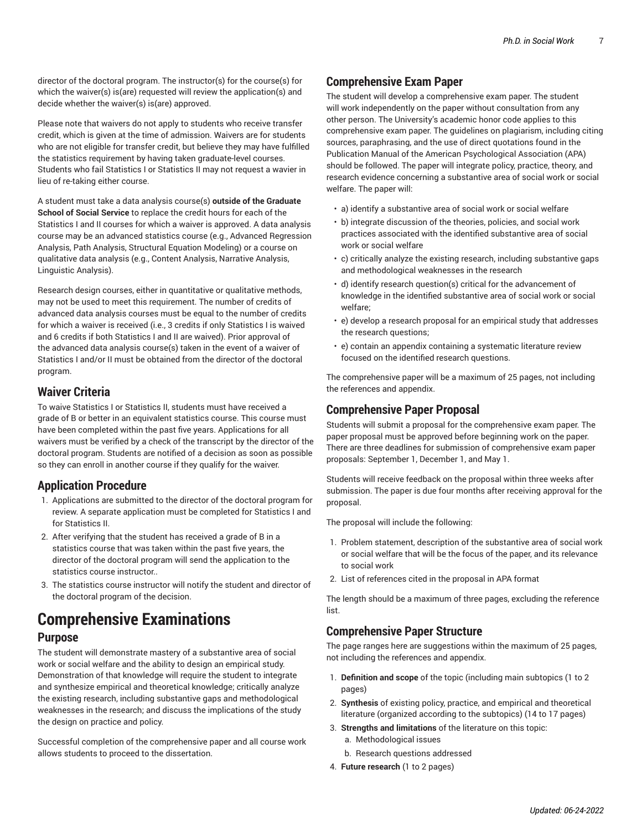director of the doctoral program. The instructor(s) for the course(s) for which the waiver(s) is(are) requested will review the application(s) and decide whether the waiver(s) is(are) approved.

Please note that waivers do not apply to students who receive transfer credit, which is given at the time of admission. Waivers are for students who are not eligible for transfer credit, but believe they may have fulfilled the statistics requirement by having taken graduate-level courses. Students who fail Statistics I or Statistics II may not request a wavier in lieu of re-taking either course.

A student must take a data analysis course(s) **outside of the Graduate School of Social Service** to replace the credit hours for each of the Statistics I and II courses for which a waiver is approved. A data analysis course may be an advanced statistics course (e.g., Advanced Regression Analysis, Path Analysis, Structural Equation Modeling) or a course on qualitative data analysis (e.g., Content Analysis, Narrative Analysis, Linguistic Analysis).

Research design courses, either in quantitative or qualitative methods, may not be used to meet this requirement. The number of credits of advanced data analysis courses must be equal to the number of credits for which a waiver is received (i.e., 3 credits if only Statistics I is waived and 6 credits if both Statistics I and II are waived). Prior approval of the advanced data analysis course(s) taken in the event of a waiver of Statistics I and/or II must be obtained from the director of the doctoral program.

### **Waiver Criteria**

To waive Statistics I or Statistics II, students must have received a grade of B or better in an equivalent statistics course. This course must have been completed within the past five years. Applications for all waivers must be verified by a check of the transcript by the director of the doctoral program. Students are notified of a decision as soon as possible so they can enroll in another course if they qualify for the waiver.

#### **Application Procedure**

- 1. Applications are submitted to the director of the doctoral program for review. A separate application must be completed for Statistics I and for Statistics II.
- 2. After verifying that the student has received a grade of B in a statistics course that was taken within the past five years, the director of the doctoral program will send the application to the statistics course instructor..
- 3. The statistics course instructor will notify the student and director of the doctoral program of the decision.

## **Comprehensive Examinations Purpose**

The student will demonstrate mastery of a substantive area of social work or social welfare and the ability to design an empirical study. Demonstration of that knowledge will require the student to integrate and synthesize empirical and theoretical knowledge; critically analyze the existing research, including substantive gaps and methodological weaknesses in the research; and discuss the implications of the study the design on practice and policy.

Successful completion of the comprehensive paper and all course work allows students to proceed to the dissertation.

## **Comprehensive Exam Paper**

The student will develop a comprehensive exam paper. The student will work independently on the paper without consultation from any other person. The University's academic honor code applies to this comprehensive exam paper. The guidelines on plagiarism, including citing sources, paraphrasing, and the use of direct quotations found in the Publication Manual of the American Psychological Association (APA) should be followed. The paper will integrate policy, practice, theory, and research evidence concerning a substantive area of social work or social welfare. The paper will:

- a) identify a substantive area of social work or social welfare
- b) integrate discussion of the theories, policies, and social work practices associated with the identified substantive area of social work or social welfare
- c) critically analyze the existing research, including substantive gaps and methodological weaknesses in the research
- d) identify research question(s) critical for the advancement of knowledge in the identified substantive area of social work or social welfare;
- e) develop a research proposal for an empirical study that addresses the research questions;
- e) contain an appendix containing a systematic literature review focused on the identified research questions.

The comprehensive paper will be a maximum of 25 pages, not including the references and appendix.

## **Comprehensive Paper Proposal**

Students will submit a proposal for the comprehensive exam paper. The paper proposal must be approved before beginning work on the paper. There are three deadlines for submission of comprehensive exam paper proposals: September 1, December 1, and May 1.

Students will receive feedback on the proposal within three weeks after submission. The paper is due four months after receiving approval for the proposal.

The proposal will include the following:

- 1. Problem statement, description of the substantive area of social work or social welfare that will be the focus of the paper, and its relevance to social work
- 2. List of references cited in the proposal in APA format

The length should be a maximum of three pages, excluding the reference list.

## **Comprehensive Paper Structure**

The page ranges here are suggestions within the maximum of 25 pages, not including the references and appendix.

- 1. **Definition and scope** of the topic (including main subtopics (1 to 2 pages)
- 2. **Synthesis** of existing policy, practice, and empirical and theoretical literature (organized according to the subtopics) (14 to 17 pages)
- 3. **Strengths and limitations** of the literature on this topic:
	- a. Methodological issues
	- b. Research questions addressed
- 4. **Future research** (1 to 2 pages)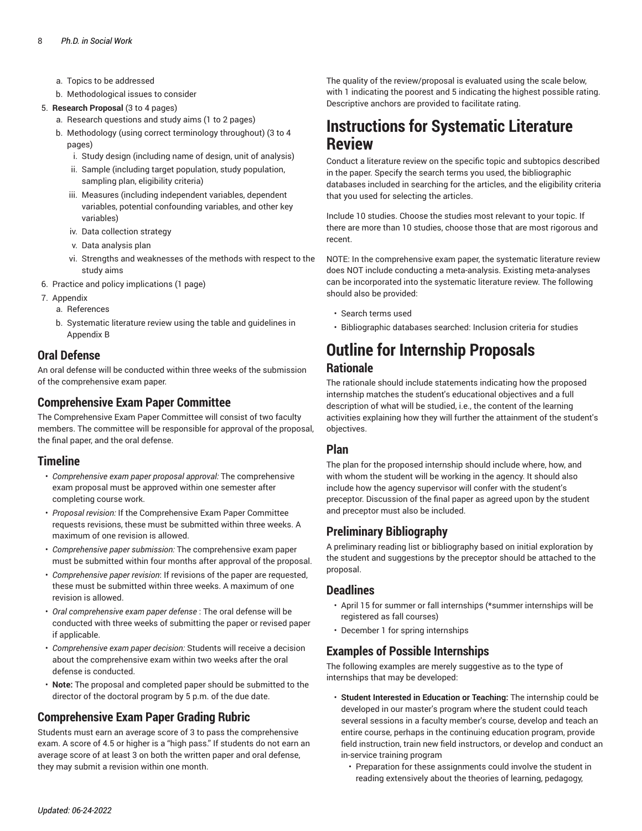- a. Topics to be addressed
- b. Methodological issues to consider
- 5. **Research Proposal** (3 to 4 pages)
	- a. Research questions and study aims (1 to 2 pages)
	- b. Methodology (using correct terminology throughout) (3 to 4 pages)
		- i. Study design (including name of design, unit of analysis)
		- ii. Sample (including target population, study population, sampling plan, eligibility criteria)
		- iii. Measures (including independent variables, dependent variables, potential confounding variables, and other key variables)
		- iv. Data collection strategy
		- v. Data analysis plan
		- vi. Strengths and weaknesses of the methods with respect to the study aims
- 6. Practice and policy implications (1 page)
- 7. Appendix
	- a. References
	- b. Systematic literature review using the table and guidelines in Appendix B

#### **Oral Defense**

An oral defense will be conducted within three weeks of the submission of the comprehensive exam paper.

#### **Comprehensive Exam Paper Committee**

The Comprehensive Exam Paper Committee will consist of two faculty members. The committee will be responsible for approval of the proposal, the final paper, and the oral defense.

#### **Timeline**

- *Comprehensive exam paper proposal approval:* The comprehensive exam proposal must be approved within one semester after completing course work.
- *Proposal revision:* If the Comprehensive Exam Paper Committee requests revisions, these must be submitted within three weeks. A maximum of one revision is allowed.
- *Comprehensive paper submission:* The comprehensive exam paper must be submitted within four months after approval of the proposal.
- *Comprehensive paper revision*: If revisions of the paper are requested, these must be submitted within three weeks. A maximum of one revision is allowed.
- *Oral comprehensive exam paper defense* : The oral defense will be conducted with three weeks of submitting the paper or revised paper if applicable.
- *Comprehensive exam paper decision:* Students will receive a decision about the comprehensive exam within two weeks after the oral defense is conducted.
- **Note:** The proposal and completed paper should be submitted to the director of the doctoral program by 5 p.m. of the due date.

## **Comprehensive Exam Paper Grading Rubric**

Students must earn an average score of 3 to pass the comprehensive exam. A score of 4.5 or higher is a "high pass." If students do not earn an average score of at least 3 on both the written paper and oral defense, they may submit a revision within one month.

The quality of the review/proposal is evaluated using the scale below, with 1 indicating the poorest and 5 indicating the highest possible rating. Descriptive anchors are provided to facilitate rating.

## **Instructions for Systematic Literature Review**

Conduct a literature review on the specific topic and subtopics described in the paper. Specify the search terms you used, the bibliographic databases included in searching for the articles, and the eligibility criteria that you used for selecting the articles.

Include 10 studies. Choose the studies most relevant to your topic. If there are more than 10 studies, choose those that are most rigorous and recent.

NOTE: In the comprehensive exam paper, the systematic literature review does NOT include conducting a meta-analysis. Existing meta-analyses can be incorporated into the systematic literature review. The following should also be provided:

- Search terms used
- Bibliographic databases searched: Inclusion criteria for studies

# **Outline for Internship Proposals**

#### **Rationale**

The rationale should include statements indicating how the proposed internship matches the student's educational objectives and a full description of what will be studied, i.e., the content of the learning activities explaining how they will further the attainment of the student's objectives.

#### **Plan**

The plan for the proposed internship should include where, how, and with whom the student will be working in the agency. It should also include how the agency supervisor will confer with the student's preceptor. Discussion of the final paper as agreed upon by the student and preceptor must also be included.

## **Preliminary Bibliography**

A preliminary reading list or bibliography based on initial exploration by the student and suggestions by the preceptor should be attached to the proposal.

#### **Deadlines**

- April 15 for summer or fall internships (\*summer internships will be registered as fall courses)
- December 1 for spring internships

#### **Examples of Possible Internships**

The following examples are merely suggestive as to the type of internships that may be developed:

- **Student Interested in Education or Teaching:** The internship could be developed in our master's program where the student could teach several sessions in a faculty member's course, develop and teach an entire course, perhaps in the continuing education program, provide field instruction, train new field instructors, or develop and conduct an in-service training program
	- Preparation for these assignments could involve the student in reading extensively about the theories of learning, pedagogy,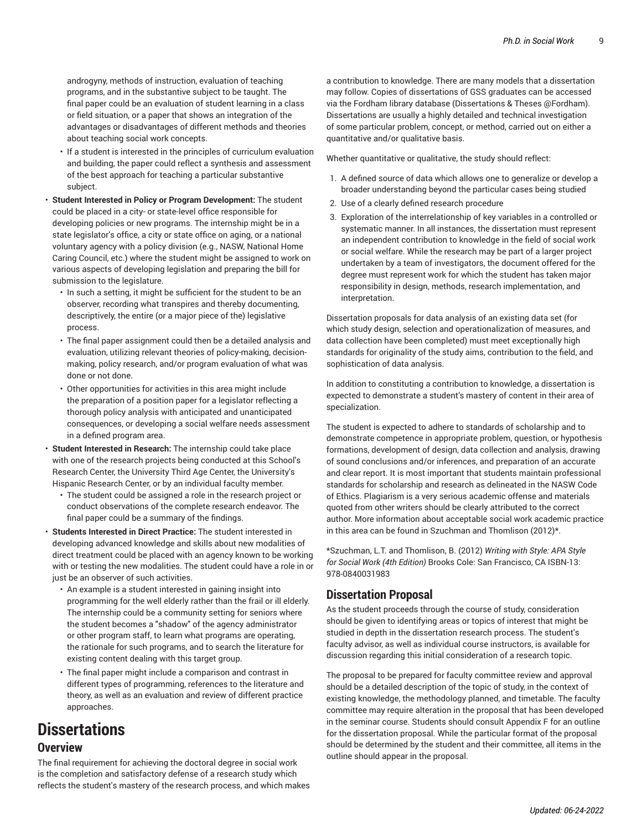androgyny, methods of instruction, evaluation of teaching programs, and in the substantive subject to be taught. The final paper could be an evaluation of student learning in a class or field situation, or a paper that shows an integration of the advantages or disadvantages of different methods and theories about teaching social work concepts.

- If a student is interested in the principles of curriculum evaluation and building, the paper could reflect a synthesis and assessment of the best approach for teaching a particular substantive subject.
- **Student Interested in Policy or Program Development:** The student could be placed in a city- or state-level office responsible for developing policies or new programs. The internship might be in a state legislator's office, a city or state office on aging, or a national voluntary agency with a policy division (e.g., NASW, National Home Caring Council, etc.) where the student might be assigned to work on various aspects of developing legislation and preparing the bill for submission to the legislature.
	- In such a setting, it might be sufficient for the student to be an observer, recording what transpires and thereby documenting, descriptively, the entire (or a major piece of the) legislative process.
	- The final paper assignment could then be a detailed analysis and evaluation, utilizing relevant theories of policy-making, decisionmaking, policy research, and/or program evaluation of what was done or not done.
	- Other opportunities for activities in this area might include the preparation of a position paper for a legislator reflecting a thorough policy analysis with anticipated and unanticipated consequences, or developing a social welfare needs assessment in a defined program area.
- **Student Interested in Research:** The internship could take place with one of the research projects being conducted at this School's Research Center, the University Third Age Center, the University's Hispanic Research Center, or by an individual faculty member.
	- The student could be assigned a role in the research project or conduct observations of the complete research endeavor. The final paper could be a summary of the findings.
- **Students Interested in Direct Practice:** The student interested in developing advanced knowledge and skills about new modalities of direct treatment could be placed with an agency known to be working with or testing the new modalities. The student could have a role in or just be an observer of such activities.
	- An example is a student interested in gaining insight into programming for the well elderly rather than the frail or ill elderly. The internship could be a community setting for seniors where the student becomes a "shadow" of the agency administrator or other program staff, to learn what programs are operating, the rationale for such programs, and to search the literature for existing content dealing with this target group.
	- The final paper might include a comparison and contrast in different types of programming, references to the literature and theory, as well as an evaluation and review of different practice approaches.

# **Dissertations**

#### **Overview**

The final requirement for achieving the doctoral degree in social work is the completion and satisfactory defense of a research study which reflects the student's mastery of the research process, and which makes

a contribution to knowledge. There are many models that a dissertation may follow. Copies of dissertations of GSS graduates can be accessed via the Fordham library database (Dissertations & Theses @Fordham). Dissertations are usually a highly detailed and technical investigation of some particular problem, concept, or method, carried out on either a quantitative and/or qualitative basis.

Whether quantitative or qualitative, the study should reflect:

- 1. A defined source of data which allows one to generalize or develop a broader understanding beyond the particular cases being studied
- 2. Use of a clearly defined research procedure
- 3. Exploration of the interrelationship of key variables in a controlled or systematic manner. In all instances, the dissertation must represent an independent contribution to knowledge in the field of social work or social welfare. While the research may be part of a larger project undertaken by a team of investigators, the document offered for the degree must represent work for which the student has taken major responsibility in design, methods, research implementation, and interpretation.

Dissertation proposals for data analysis of an existing data set (for which study design, selection and operationalization of measures, and data collection have been completed) must meet exceptionally high standards for originality of the study aims, contribution to the field, and sophistication of data analysis.

In addition to constituting a contribution to knowledge, a dissertation is expected to demonstrate a student's mastery of content in their area of specialization.

The student is expected to adhere to standards of scholarship and to demonstrate competence in appropriate problem, question, or hypothesis formations, development of design, data collection and analysis, drawing of sound conclusions and/or inferences, and preparation of an accurate and clear report. It is most important that students maintain professional standards for scholarship and research as delineated in the NASW Code of Ethics. Plagiarism is a very serious academic offense and materials quoted from other writers should be clearly attributed to the correct author. More information about acceptable social work academic practice in this area can be found in Szuchman and Thomlison (2012)\*.

\*Szuchman, L.T. and Thomlison, B. (2012) *Writing with Style: APA Style for Social Work (4th Edition)* Brooks Cole: San Francisco, CA ISBN-13: 978-0840031983

#### **Dissertation Proposal**

As the student proceeds through the course of study, consideration should be given to identifying areas or topics of interest that might be studied in depth in the dissertation research process. The student's faculty advisor, as well as individual course instructors, is available for discussion regarding this initial consideration of a research topic.

The proposal to be prepared for faculty committee review and approval should be a detailed description of the topic of study, in the context of existing knowledge, the methodology planned, and timetable. The faculty committee may require alteration in the proposal that has been developed in the seminar course. Students should consult Appendix F for an outline for the dissertation proposal. While the particular format of the proposal should be determined by the student and their committee, all items in the outline should appear in the proposal.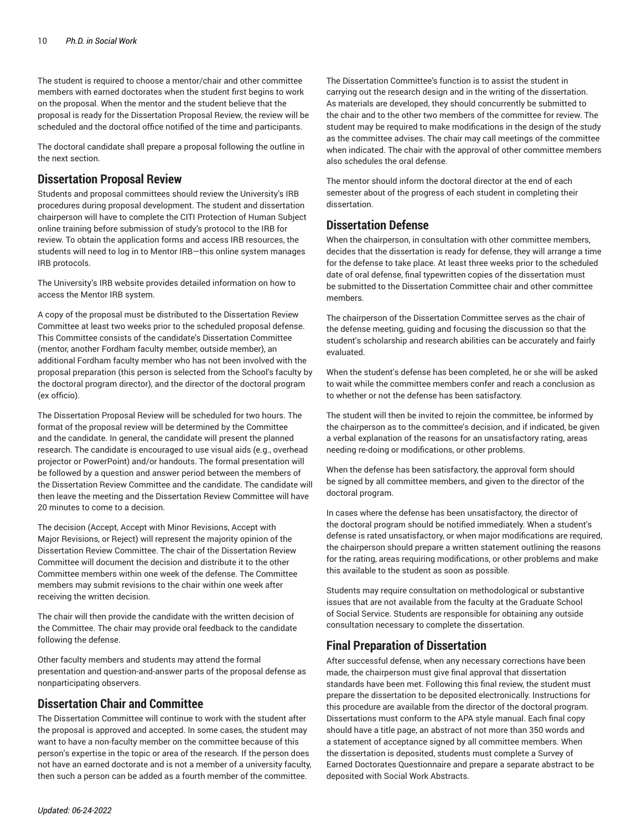The student is required to choose a mentor/chair and other committee members with earned doctorates when the student first begins to work on the proposal. When the mentor and the student believe that the proposal is ready for the Dissertation Proposal Review, the review will be scheduled and the doctoral office notified of the time and participants.

The doctoral candidate shall prepare a proposal following the outline in the next section.

#### **Dissertation Proposal Review**

Students and proposal committees should review the [University's](https://www.fordham.edu/info/24326/institutional_review_board/) IRB [procedures](https://www.fordham.edu/info/24326/institutional_review_board/) during proposal development. The student and dissertation chairperson will have to complete the CITI Protection of Human Subject online training before submission of study's protocol to the IRB for review. To obtain the application forms and access IRB resources, the students will need to log in to Mentor IRB—this online system manages IRB protocols.

The [University's](https://www.fordham.edu/info/24326/institutional_review_board/) IRB website provides detailed information on how to access the Mentor IRB system.

A copy of the proposal must be distributed to the Dissertation Review Committee at least two weeks prior to the scheduled proposal defense. This Committee consists of the candidate's Dissertation Committee (mentor, another Fordham faculty member, outside member), an additional Fordham faculty member who has not been involved with the proposal preparation (this person is selected from the School's faculty by the doctoral program director), and the director of the doctoral program (ex officio).

The Dissertation Proposal Review will be scheduled for two hours. The format of the proposal review will be determined by the Committee and the candidate. In general, the candidate will present the planned research. The candidate is encouraged to use visual aids (e.g., overhead projector or PowerPoint) and/or handouts. The formal presentation will be followed by a question and answer period between the members of the Dissertation Review Committee and the candidate. The candidate will then leave the meeting and the Dissertation Review Committee will have 20 minutes to come to a decision.

The decision (Accept, Accept with Minor Revisions, Accept with Major Revisions, or Reject) will represent the majority opinion of the Dissertation Review Committee. The chair of the Dissertation Review Committee will document the decision and distribute it to the other Committee members within one week of the defense. The Committee members may submit revisions to the chair within one week after receiving the written decision.

The chair will then provide the candidate with the written decision of the Committee. The chair may provide oral feedback to the candidate following the defense.

Other faculty members and students may attend the formal presentation and question-and-answer parts of the proposal defense as nonparticipating observers.

#### **Dissertation Chair and Committee**

The Dissertation Committee will continue to work with the student after the proposal is approved and accepted. In some cases, the student may want to have a non-faculty member on the committee because of this person's expertise in the topic or area of the research. If the person does not have an earned doctorate and is not a member of a university faculty, then such a person can be added as a fourth member of the committee.

The Dissertation Committee's function is to assist the student in carrying out the research design and in the writing of the dissertation. As materials are developed, they should concurrently be submitted to the chair and to the other two members of the committee for review. The student may be required to make modifications in the design of the study as the committee advises. The chair may call meetings of the committee when indicated. The chair with the approval of other committee members also schedules the oral defense.

The mentor should inform the doctoral director at the end of each semester about of the progress of each student in completing their dissertation.

#### **Dissertation Defense**

When the chairperson, in consultation with other committee members, decides that the dissertation is ready for defense, they will arrange a time for the defense to take place. At least three weeks prior to the scheduled date of oral defense, final typewritten copies of the dissertation must be submitted to the Dissertation Committee chair and other committee members.

The chairperson of the Dissertation Committee serves as the chair of the defense meeting, guiding and focusing the discussion so that the student's scholarship and research abilities can be accurately and fairly evaluated.

When the student's defense has been completed, he or she will be asked to wait while the committee members confer and reach a conclusion as to whether or not the defense has been satisfactory.

The student will then be invited to rejoin the committee, be informed by the chairperson as to the committee's decision, and if indicated, be given a verbal explanation of the reasons for an unsatisfactory rating, areas needing re-doing or modifications, or other problems.

When the defense has been satisfactory, the approval form should be signed by all committee members, and given to the director of the doctoral program.

In cases where the defense has been unsatisfactory, the director of the doctoral program should be notified immediately. When a student's defense is rated unsatisfactory, or when major modifications are required, the chairperson should prepare a written statement outlining the reasons for the rating, areas requiring modifications, or other problems and make this available to the student as soon as possible.

Students may require consultation on methodological or substantive issues that are not available from the faculty at the Graduate School of Social Service. Students are responsible for obtaining any outside consultation necessary to complete the dissertation.

## **Final Preparation of Dissertation**

After successful defense, when any necessary corrections have been made, the chairperson must give final approval that dissertation standards have been met. Following this final review, the student must prepare the dissertation to be deposited electronically. Instructions for this procedure are available from the director of the doctoral program. Dissertations must conform to the APA style manual. Each final copy should have a title page, an abstract of not more than 350 words and a statement of acceptance signed by all committee members. When the dissertation is deposited, students must complete a Survey of Earned Doctorates Questionnaire and prepare a separate abstract to be deposited with Social Work Abstracts.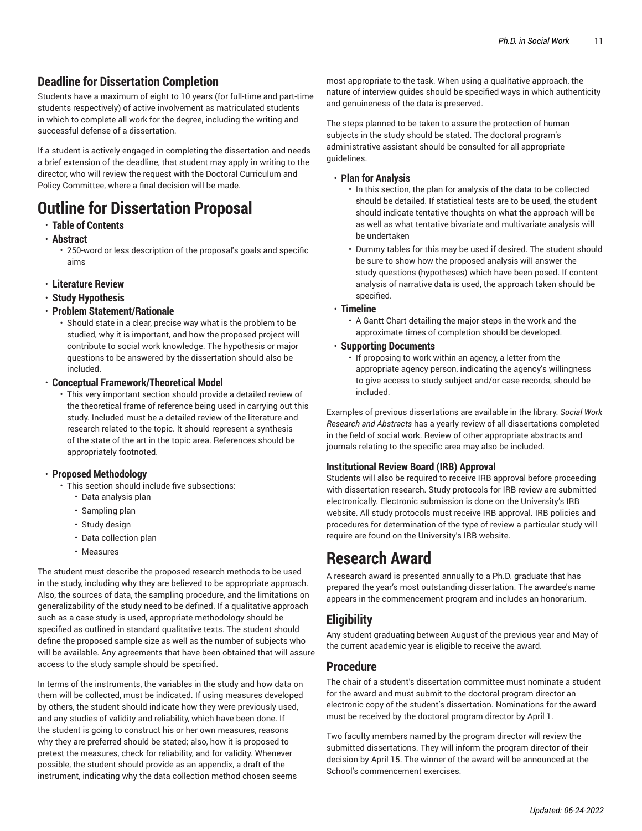## **Deadline for Dissertation Completion**

Students have a maximum of eight to 10 years (for full-time and part-time students respectively) of active involvement as matriculated students in which to complete all work for the degree, including the writing and successful defense of a dissertation.

If a student is actively engaged in completing the dissertation and needs a brief extension of the deadline, that student may apply in writing to the director, who will review the request with the Doctoral Curriculum and Policy Committee, where a final decision will be made.

## **Outline for Dissertation Proposal**

- **Table of Contents**
- **Abstract**
	- 250-word or less description of the proposal's goals and specific aims
- **Literature Review**
- **Study Hypothesis**
- **Problem Statement/Rationale**

• Should state in a clear, precise way what is the problem to be studied, why it is important, and how the proposed project will contribute to social work knowledge. The hypothesis or major questions to be answered by the dissertation should also be included.

- **Conceptual Framework/Theoretical Model**
	- This very important section should provide a detailed review of the theoretical frame of reference being used in carrying out this study. Included must be a detailed review of the literature and research related to the topic. It should represent a synthesis of the state of the art in the topic area. References should be appropriately footnoted.

#### • **Proposed Methodology**

- This section should include five subsections:
	- Data analysis plan
	- Sampling plan
	- Study design
	- Data collection plan
	- Measures

The student must describe the proposed research methods to be used in the study, including why they are believed to be appropriate approach. Also, the sources of data, the sampling procedure, and the limitations on generalizability of the study need to be defined. If a qualitative approach such as a case study is used, appropriate methodology should be specified as outlined in standard qualitative texts. The student should define the proposed sample size as well as the number of subjects who will be available. Any agreements that have been obtained that will assure access to the study sample should be specified.

In terms of the instruments, the variables in the study and how data on them will be collected, must be indicated. If using measures developed by others, the student should indicate how they were previously used, and any studies of validity and reliability, which have been done. If the student is going to construct his or her own measures, reasons why they are preferred should be stated; also, how it is proposed to pretest the measures, check for reliability, and for validity. Whenever possible, the student should provide as an appendix, a draft of the instrument, indicating why the data collection method chosen seems

most appropriate to the task. When using a qualitative approach, the nature of interview guides should be specified ways in which authenticity and genuineness of the data is preserved.

The steps planned to be taken to assure the protection of human subjects in the study should be stated. The doctoral program's administrative assistant should be consulted for all appropriate guidelines.

#### • **Plan for Analysis**

- In this section, the plan for analysis of the data to be collected should be detailed. If statistical tests are to be used, the student should indicate tentative thoughts on what the approach will be as well as what tentative bivariate and multivariate analysis will be undertaken
- Dummy tables for this may be used if desired. The student should be sure to show how the proposed analysis will answer the study questions (hypotheses) which have been posed. If content analysis of narrative data is used, the approach taken should be specified.

#### • **Timeline**

• A Gantt Chart detailing the major steps in the work and the approximate times of completion should be developed.

#### • **Supporting Documents**

• If proposing to work within an agency, a letter from the appropriate agency person, indicating the agency's willingness to give access to study subject and/or case records, should be included.

Examples of previous dissertations are available in the library. *Social Work Research and Abstracts* has a yearly review of all dissertations completed in the field of social work. Review of other appropriate abstracts and journals relating to the specific area may also be included.

#### **Institutional Review Board (IRB) Approval**

Students will also be required to receive IRB approval before proceeding with dissertation research. Study protocols for IRB review are submitted electronically. Electronic submission is done on the University's IRB website. All study protocols must receive IRB approval. IRB policies and procedures for determination of the type of review a particular study will require are found on the [University's](https://www.fordham.edu/info/24326/institutional_review_board/) IRB website.

## **Research Award**

A research award is presented annually to a Ph.D. graduate that has prepared the year's most outstanding dissertation. The awardee's name appears in the commencement program and includes an honorarium.

#### **Eligibility**

Any student graduating between August of the previous year and May of the current academic year is eligible to receive the award.

#### **Procedure**

The chair of a student's dissertation committee must nominate a student for the award and must submit to the doctoral program director an electronic copy of the student's dissertation. Nominations for the award must be received by the doctoral program director by April 1.

Two faculty members named by the program director will review the submitted dissertations. They will inform the program director of their decision by April 15. The winner of the award will be announced at the School's commencement exercises.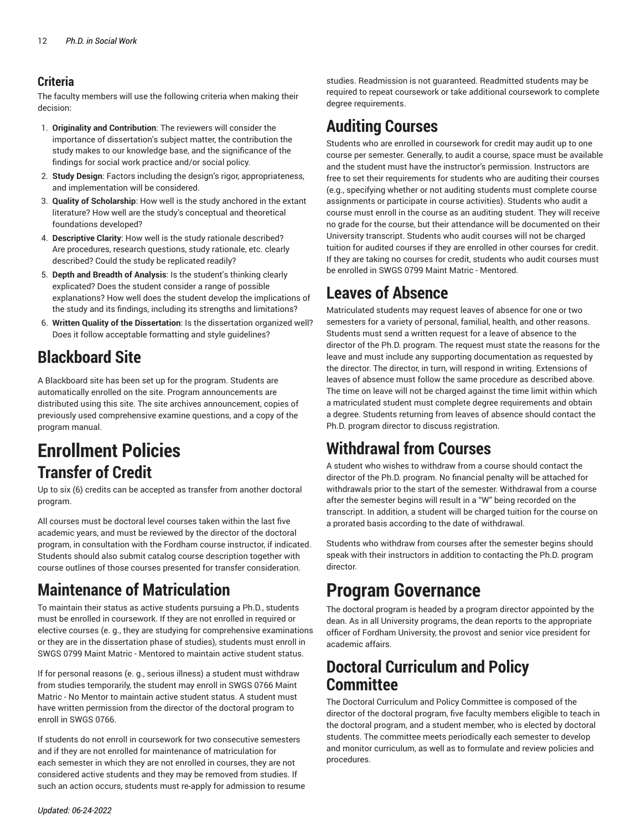## **Criteria**

The faculty members will use the following criteria when making their decision:

- 1. **Originality and Contribution**: The reviewers will consider the importance of dissertation's subject matter, the contribution the study makes to our knowledge base, and the significance of the findings for social work practice and/or social policy.
- 2. **Study Design**: Factors including the design's rigor, appropriateness, and implementation will be considered.
- 3. **Quality of Scholarship**: How well is the study anchored in the extant literature? How well are the study's conceptual and theoretical foundations developed?
- 4. **Descriptive Clarity**: How well is the study rationale described? Are procedures, research questions, study rationale, etc. clearly described? Could the study be replicated readily?
- 5. **Depth and Breadth of Analysis**: Is the student's thinking clearly explicated? Does the student consider a range of possible explanations? How well does the student develop the implications of the study and its findings, including its strengths and limitations?
- 6. **Written Quality of the Dissertation**: Is the dissertation organized well? Does it follow acceptable formatting and style guidelines?

## **Blackboard Site**

A Blackboard site has been set up for the program. Students are automatically enrolled on the site. Program announcements are distributed using this site. The site archives announcement, copies of previously used comprehensive examine questions, and a copy of the program manual.

# **Enrollment Policies Transfer of Credit**

Up to six (6) credits can be accepted as transfer from another doctoral program.

All courses must be doctoral level courses taken within the last five academic years, and must be reviewed by the director of the doctoral program, in consultation with the Fordham course instructor, if indicated. Students should also submit catalog course description together with course outlines of those courses presented for transfer consideration.

## **Maintenance of Matriculation**

To maintain their status as active students pursuing a Ph.D., students must be enrolled in coursework. If they are not enrolled in required or elective courses (e. g., they are studying for comprehensive examinations or they are in the dissertation phase of studies), students must enroll in SWGS 0799 Maint Matric - Mentored to maintain active student status.

If for personal reasons (e. g., serious illness) a student must withdraw from studies temporarily, the student may enroll in SWGS 0766 Maint Matric - No Mentor to maintain active student status. A student must have written permission from the director of the doctoral program to enroll in SWGS 0766.

If students do not enroll in coursework for two consecutive semesters and if they are not enrolled for maintenance of matriculation for each semester in which they are not enrolled in courses, they are not considered active students and they may be removed from studies. If such an action occurs, students must re-apply for admission to resume

studies. Readmission is not guaranteed. Readmitted students may be required to repeat coursework or take additional coursework to complete degree requirements.

## **Auditing Courses**

Students who are enrolled in coursework for credit may audit up to one course per semester. Generally, to audit a course, space must be available and the student must have the instructor's permission. Instructors are free to set their requirements for students who are auditing their courses (e.g., specifying whether or not auditing students must complete course assignments or participate in course activities). Students who audit a course must enroll in the course as an auditing student. They will receive no grade for the course, but their attendance will be documented on their University transcript. Students who audit courses will not be charged tuition for audited courses if they are enrolled in other courses for credit. If they are taking no courses for credit, students who audit courses must be enrolled in SWGS 0799 Maint Matric - Mentored.

# **Leaves of Absence**

Matriculated students may request leaves of absence for one or two semesters for a variety of personal, familial, health, and other reasons. Students must send a written request for a leave of absence to the director of the Ph.D. program. The request must state the reasons for the leave and must include any supporting documentation as requested by the director. The director, in turn, will respond in writing. Extensions of leaves of absence must follow the same procedure as described above. The time on leave will not be charged against the time limit within which a matriculated student must complete degree requirements and obtain a degree. Students returning from leaves of absence should contact the Ph.D. program director to discuss registration.

# **Withdrawal from Courses**

A student who wishes to withdraw from a course should contact the director of the Ph.D. program. No financial penalty will be attached for withdrawals prior to the start of the semester. Withdrawal from a course after the semester begins will result in a "W" being recorded on the transcript. In addition, a student will be charged tuition for the course on a [prorated](https://www.fordham.edu/info/21262/refunds/) basis according to the date of withdrawal.

Students who withdraw from courses after the semester begins should speak with their instructors in addition to contacting the Ph.D. program director.

# **Program Governance**

The doctoral program is headed by a program director appointed by the dean. As in all University programs, the dean reports to the appropriate officer of Fordham University, the provost and senior vice president for academic affairs.

## **Doctoral Curriculum and Policy Committee**

The Doctoral Curriculum and Policy Committee is composed of the director of the doctoral program, five faculty members eligible to teach in the doctoral program, and a student member, who is elected by doctoral students. The committee meets periodically each semester to develop and monitor curriculum, as well as to formulate and review policies and procedures.